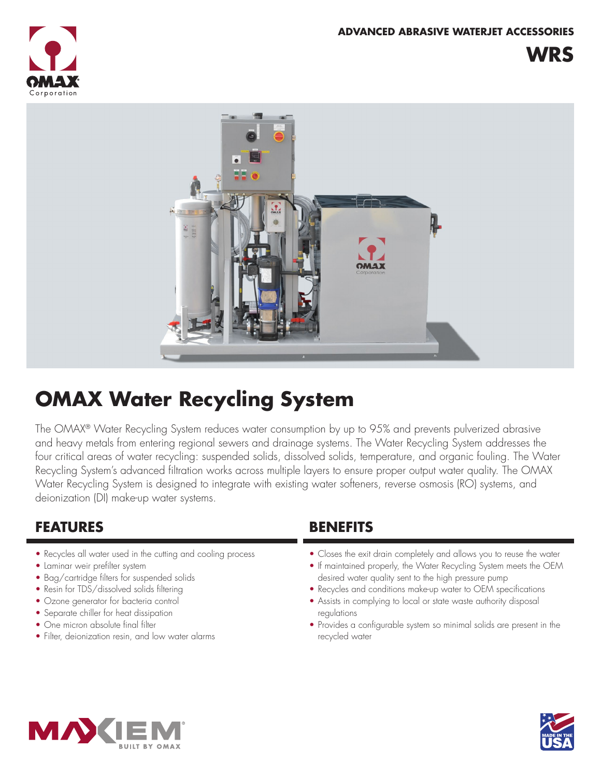**WRS**





# **OMAX Water Recycling System**

The OMAX® Water Recycling System reduces water consumption by up to 95% and prevents pulverized abrasive and heavy metals from entering regional sewers and drainage systems. The Water Recycling System addresses the four critical areas of water recycling: suspended solids, dissolved solids, temperature, and organic fouling. The Water Recycling System's advanced filtration works across multiple layers to ensure proper output water quality. The OMAX Water Recycling System is designed to integrate with existing water softeners, reverse osmosis (RO) systems, and deionization (DI) make-up water systems.

## **FEATURES BENEFITS**

- Recycles all water used in the cutting and cooling process
- Laminar weir prefilter system
- Bag/cartridge filters for suspended solids
- Resin for TDS/dissolved solids filtering
- Ozone generator for bacteria control
- Separate chiller for heat dissipation
- One micron absolute final filter
- Filter, deionization resin, and low water alarms

- Closes the exit drain completely and allows you to reuse the water
- If maintained properly, the Water Recycling System meets the OEM desired water quality sent to the high pressure pump
- Recycles and conditions make-up water to OEM specifications
- Assists in complying to local or state waste authority disposal regulations
- Provides a configurable system so minimal solids are present in the recycled water